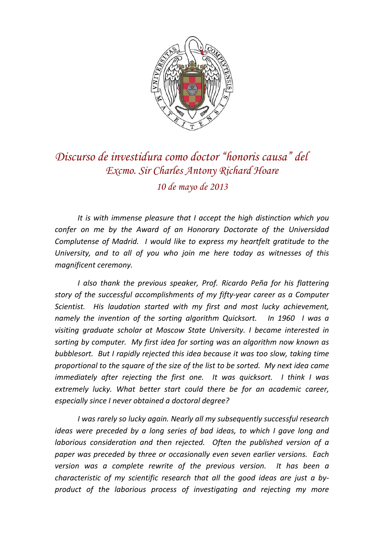

## *Discurso de investidura como doctor "honoris causa" del Excmo. Sir Charles Antony Richard Hoare 10 de mayo de 2013*

*It is with immense pleasure that I accept the high distinction which you confer on me by the Award of an Honorary Doctorate of the Universidad Complutense of Madrid. I would like to express my heartfelt gratitude to the University, and to all of you who join me here today as witnesses of this magnificent ceremony.*

*I also thank the previous speaker, Prof. Ricardo Peña for his flattering story of the successful accomplishments of my fifty‐year career as a Computer Scientist. His laudation started with my first and most lucky achievement, namely the invention of the sorting algorithm Quicksort. In 1960 I was a visiting graduate scholar at Moscow State University. I became interested in sorting by computer. My first idea for sorting was an algorithm now known as bubblesort. But I rapidly rejected this idea because it was too slow, taking time proportional to the square of the size of the list to be sorted. My next idea came immediately after rejecting the first one. It was quicksort. I think I was extremely lucky. What better start could there be for an academic career, especially since I never obtained a doctoral degree?*

*I was rarely so lucky again. Nearly all my subsequently successful research ideas were preceded by a long series of bad ideas, to which I gave long and laborious consideration and then rejected. Often the published version of a paper was preceded by three or occasionally even seven earlier versions. Each version was a complete rewrite of the previous version. It has been a characteristic of my scientific research that all the good ideas are just a by‐ product of the laborious process of investigating and rejecting my more*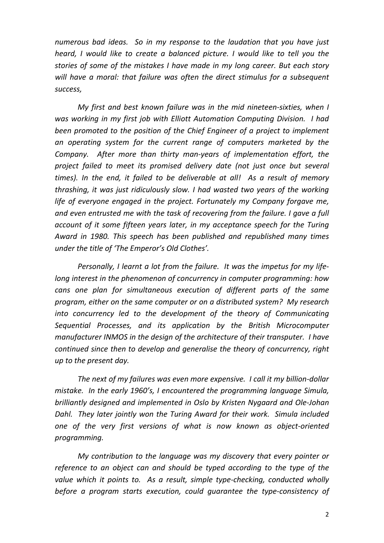*numerous bad ideas. So in my response to the laudation that you have just heard, I would like to create a balanced picture. I would like to tell you the stories of some of the mistakes I have made in my long career. But each story will have a moral: that failure was often the direct stimulus for a subsequent success,*

*My first and best known failure was in the mid nineteen‐sixties, when I was working in my first job with Elliott Automation Computing Division. I had been promoted to the position of the Chief Engineer of a project to implement an operating system for the current range of computers marketed by the Company. After more than thirty man‐years of implementation effort, the project failed to meet its promised delivery date (not just once but several times). In the end, it failed to be deliverable at all! As a result of memory thrashing, it was just ridiculously slow. I had wasted two years of the working life of everyone engaged in the project. Fortunately my Company forgave me, and even entrusted me with the task of recovering from the failure. I gave a full account of it some fifteen years later, in my acceptance speech for the Turing Award in 1980. This speech has been published and republished many times under the title of 'The Emperor's Old Clothes'.*

*Personally, I learnt a lot from the failure. It was the impetus for my life‐ long interest in the phenomenon of concurrency in computer programming: how cans one plan for simultaneous execution of different parts of the same program, either on the same computer or on a distributed system? My research into concurrency led to the development of the theory of Communicating Sequential Processes, and its application by the British Microcomputer manufacturer INMOS in the design of the architecture of their transputer. I have continued since then to develop and generalise the theory of concurrency, right up to the present day.*

*The next of my failures was even more expensive. I call it my billion‐dollar mistake. In the early 1960's, I encountered the programming language Simula, brilliantly designed and implemented in Oslo by Kristen Nygaard and Ole‐Johan Dahl. They later jointly won the Turing Award for their work. Simula included one of the very first versions of what is now known as object‐oriented programming.* 

*My contribution to the language was my discovery that every pointer or reference to an object can and should be typed according to the type of the value which it points to. As a result, simple type‐checking, conducted wholly before a program starts execution, could guarantee the type‐consistency of*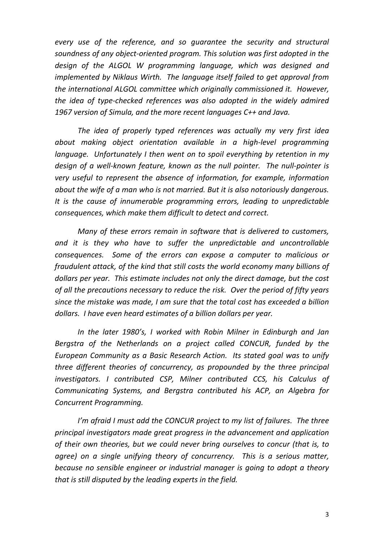*every use of the reference, and so guarantee the security and structural soundness of any object‐oriented program. This solution was first adopted in the design of the ALGOL W programming language, which was designed and implemented by Niklaus Wirth. The language itself failed to get approval from the international ALGOL committee which originally commissioned it. However, the idea of type‐checked references was also adopted in the widely admired 1967 version of Simula, and the more recent languages C++ and Java.*

*The idea of properly typed references was actually my very first idea about making object orientation available in a high‐level programming language. Unfortunately I then went on to spoil everything by retention in my design of a well‐known feature, known as the null pointer. The null‐pointer is very useful to represent the absence of information, for example, information about the wife of a man who is not married. But it is also notoriously dangerous. It is the cause of innumerable programming errors, leading to unpredictable consequences, which make them difficult to detect and correct.* 

*Many of these errors remain in software that is delivered to customers, and it is they who have to suffer the unpredictable and uncontrollable consequences. Some of the errors can expose a computer to malicious or fraudulent attack, of the kind that still costs the world economy many billions of dollars per year. This estimate includes not only the direct damage, but the cost of all the precautions necessary to reduce the risk. Over the period of fifty years since the mistake was made, I am sure that the total cost has exceeded a billion dollars. I have even heard estimates of a billion dollars per year.*

*In the later 1980's, I worked with Robin Milner in Edinburgh and Jan Bergstra of the Netherlands on a project called CONCUR, funded by the European Community as a Basic Research Action. Its stated goal was to unify three different theories of concurrency, as propounded by the three principal investigators. I contributed CSP, Milner contributed CCS, his Calculus of Communicating Systems, and Bergstra contributed his ACP, an Algebra for Concurrent Programming.* 

*I'm afraid I must add the CONCUR project to my list of failures. The three principal investigators made great progress in the advancement and application of their own theories, but we could never bring ourselves to concur (that is, to agree) on a single unifying theory of concurrency. This is a serious matter, because no sensible engineer or industrial manager is going to adopt a theory that is still disputed by the leading experts in the field.*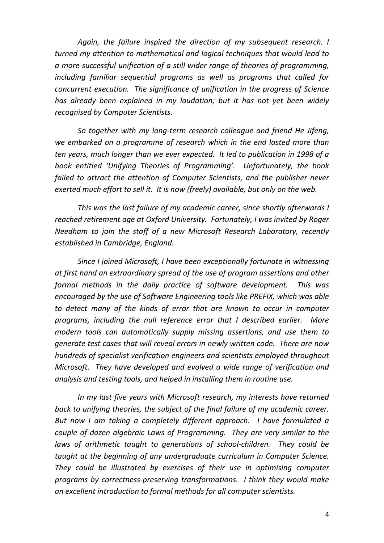*Again, the failure inspired the direction of my subsequent research. I turned my attention to mathematical and logical techniques that would lead to a more successful unification of a still wider range of theories of programming, including familiar sequential programs as well as programs that called for concurrent execution. The significance of unification in the progress of Science has already been explained in my laudation; but it has not yet been widely recognised by Computer Scientists.* 

*So together with my long‐term research colleague and friend He Jifeng, we embarked on a programme of research which in the end lasted more than ten years, much longer than we ever expected. It led to publication in 1998 of a book entitled 'Unifying Theories of Programming'. Unfortunately, the book failed to attract the attention of Computer Scientists, and the publisher never exerted much effort to sell it. It is now (freely) available, but only on the web.* 

*This was the last failure of my academic career, since shortly afterwards I reached retirement age at Oxford University. Fortunately, I was invited by Roger Needham to join the staff of a new Microsoft Research Laboratory, recently established in Cambridge, England.* 

*Since I joined Microsoft, I have been exceptionally fortunate in witnessing at first hand an extraordinary spread of the use of program assertions and other formal methods in the daily practice of software development. This was encouraged by the use of Software Engineering tools like PREFIX, which was able to detect many of the kinds of error that are known to occur in computer programs, including the null reference error that I described earlier. More modern tools can automatically supply missing assertions, and use them to generate test cases that will reveal errors in newly written code. There are now hundreds of specialist verification engineers and scientists employed throughout Microsoft. They have developed and evolved a wide range of verification and analysis and testing tools, and helped in installing them in routine use.*

*In my last five years with Microsoft research, my interests have returned back to unifying theories, the subject of the final failure of my academic career. But now I am taking a completely different approach. I have formulated a couple of dozen algebraic Laws of Programming. They are very similar to the laws of arithmetic taught to generations of school‐children. They could be taught at the beginning of any undergraduate curriculum in Computer Science. They could be illustrated by exercises of their use in optimising computer programs by correctness‐preserving transformations. I think they would make an excellent introduction to formal methods for all computer scientists.*